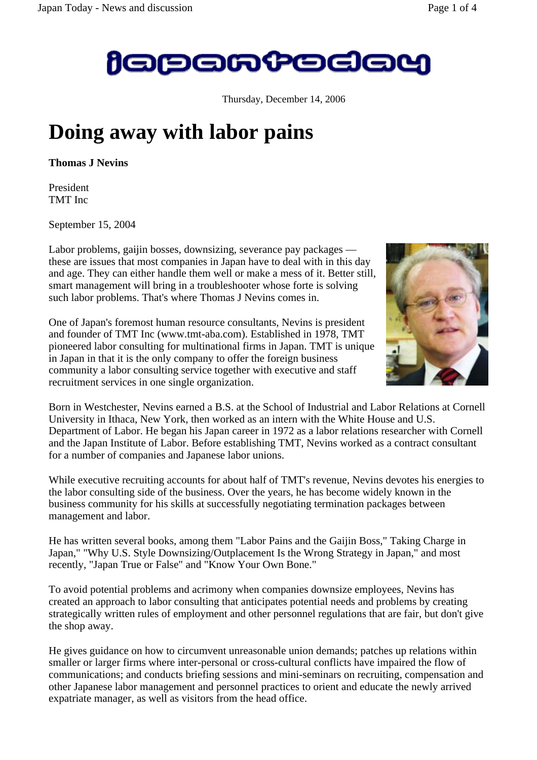

Thursday, December 14, 2006

## **Doing away with labor pains**

**Thomas J Nevins**

President TMT Inc

September 15, 2004

Labor problems, gaijin bosses, downsizing, severance pay packages these are issues that most companies in Japan have to deal with in this day and age. They can either handle them well or make a mess of it. Better still, smart management will bring in a troubleshooter whose forte is solving such labor problems. That's where Thomas J Nevins comes in.

One of Japan's foremost human resource consultants, Nevins is president and founder of TMT Inc (www.tmt-aba.com). Established in 1978, TMT pioneered labor consulting for multinational firms in Japan. TMT is unique in Japan in that it is the only company to offer the foreign business community a labor consulting service together with executive and staff recruitment services in one single organization.



Born in Westchester, Nevins earned a B.S. at the School of Industrial and Labor Relations at Cornell University in Ithaca, New York, then worked as an intern with the White House and U.S. Department of Labor. He began his Japan career in 1972 as a labor relations researcher with Cornell and the Japan Institute of Labor. Before establishing TMT, Nevins worked as a contract consultant for a number of companies and Japanese labor unions.

While executive recruiting accounts for about half of TMT's revenue, Nevins devotes his energies to the labor consulting side of the business. Over the years, he has become widely known in the business community for his skills at successfully negotiating termination packages between management and labor.

He has written several books, among them "Labor Pains and the Gaijin Boss," Taking Charge in Japan," "Why U.S. Style Downsizing/Outplacement Is the Wrong Strategy in Japan," and most recently, "Japan True or False" and "Know Your Own Bone."

To avoid potential problems and acrimony when companies downsize employees, Nevins has created an approach to labor consulting that anticipates potential needs and problems by creating strategically written rules of employment and other personnel regulations that are fair, but don't give the shop away.

He gives guidance on how to circumvent unreasonable union demands; patches up relations within smaller or larger firms where inter-personal or cross-cultural conflicts have impaired the flow of communications; and conducts briefing sessions and mini-seminars on recruiting, compensation and other Japanese labor management and personnel practices to orient and educate the newly arrived expatriate manager, as well as visitors from the head office.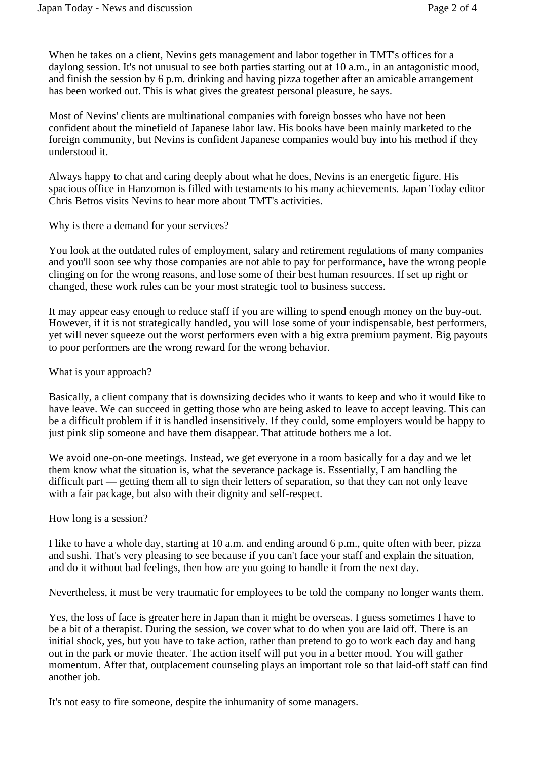When he takes on a client, Nevins gets management and labor together in TMT's offices for a daylong session. It's not unusual to see both parties starting out at 10 a.m., in an antagonistic mood, and finish the session by 6 p.m. drinking and having pizza together after an amicable arrangement has been worked out. This is what gives the greatest personal pleasure, he says.

Most of Nevins' clients are multinational companies with foreign bosses who have not been confident about the minefield of Japanese labor law. His books have been mainly marketed to the foreign community, but Nevins is confident Japanese companies would buy into his method if they understood it.

Always happy to chat and caring deeply about what he does, Nevins is an energetic figure. His spacious office in Hanzomon is filled with testaments to his many achievements. Japan Today editor Chris Betros visits Nevins to hear more about TMT's activities.

Why is there a demand for your services?

You look at the outdated rules of employment, salary and retirement regulations of many companies and you'll soon see why those companies are not able to pay for performance, have the wrong people clinging on for the wrong reasons, and lose some of their best human resources. If set up right or changed, these work rules can be your most strategic tool to business success.

It may appear easy enough to reduce staff if you are willing to spend enough money on the buy-out. However, if it is not strategically handled, you will lose some of your indispensable, best performers, yet will never squeeze out the worst performers even with a big extra premium payment. Big payouts to poor performers are the wrong reward for the wrong behavior.

## What is your approach?

Basically, a client company that is downsizing decides who it wants to keep and who it would like to have leave. We can succeed in getting those who are being asked to leave to accept leaving. This can be a difficult problem if it is handled insensitively. If they could, some employers would be happy to just pink slip someone and have them disappear. That attitude bothers me a lot.

We avoid one-on-one meetings. Instead, we get everyone in a room basically for a day and we let them know what the situation is, what the severance package is. Essentially, I am handling the difficult part — getting them all to sign their letters of separation, so that they can not only leave with a fair package, but also with their dignity and self-respect.

## How long is a session?

I like to have a whole day, starting at 10 a.m. and ending around 6 p.m., quite often with beer, pizza and sushi. That's very pleasing to see because if you can't face your staff and explain the situation, and do it without bad feelings, then how are you going to handle it from the next day.

Nevertheless, it must be very traumatic for employees to be told the company no longer wants them.

Yes, the loss of face is greater here in Japan than it might be overseas. I guess sometimes I have to be a bit of a therapist. During the session, we cover what to do when you are laid off. There is an initial shock, yes, but you have to take action, rather than pretend to go to work each day and hang out in the park or movie theater. The action itself will put you in a better mood. You will gather momentum. After that, outplacement counseling plays an important role so that laid-off staff can find another job.

It's not easy to fire someone, despite the inhumanity of some managers.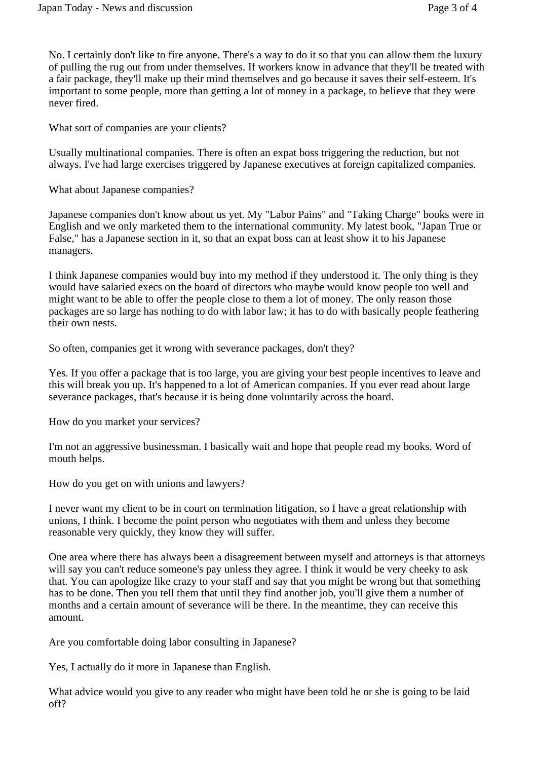No. I certainly don't like to fire anyone. There's a way to do it so that you can allow them the luxury of pulling the rug out from under themselves. If workers know in advance that they'll be treated with a fair package, they'll make up their mind themselves and go because it saves their self-esteem. It's important to some people, more than getting a lot of money in a package, to believe that they were never fired.

What sort of companies are your clients?

Usually multinational companies. There is often an expat boss triggering the reduction, but not always. I've had large exercises triggered by Japanese executives at foreign capitalized companies.

What about Japanese companies?

Japanese companies don't know about us yet. My "Labor Pains" and "Taking Charge" books were in English and we only marketed them to the international community. My latest book, "Japan True or False," has a Japanese section in it, so that an expat boss can at least show it to his Japanese managers.

I think Japanese companies would buy into my method if they understood it. The only thing is they would have salaried execs on the board of directors who maybe would know people too well and might want to be able to offer the people close to them a lot of money. The only reason those packages are so large has nothing to do with labor law; it has to do with basically people feathering their own nests.

So often, companies get it wrong with severance packages, don't they?

Yes. If you offer a package that is too large, you are giving your best people incentives to leave and this will break you up. It's happened to a lot of American companies. If you ever read about large severance packages, that's because it is being done voluntarily across the board.

How do you market your services?

I'm not an aggressive businessman. I basically wait and hope that people read my books. Word of mouth helps.

How do you get on with unions and lawyers?

I never want my client to be in court on termination litigation, so I have a great relationship with unions, I think. I become the point person who negotiates with them and unless they become reasonable very quickly, they know they will suffer.

One area where there has always been a disagreement between myself and attorneys is that attorneys will say you can't reduce someone's pay unless they agree. I think it would be very cheeky to ask that. You can apologize like crazy to your staff and say that you might be wrong but that something has to be done. Then you tell them that until they find another job, you'll give them a number of months and a certain amount of severance will be there. In the meantime, they can receive this amount.

Are you comfortable doing labor consulting in Japanese?

Yes, I actually do it more in Japanese than English.

What advice would you give to any reader who might have been told he or she is going to be laid off?